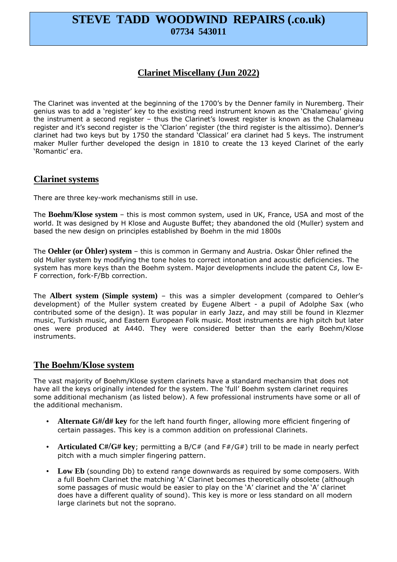# **STEVE TADD WOODWIND REPAIRS (.co.uk) 07734 543011**

## **Clarinet Miscellany (Jun 2022)**

The Clarinet was invented at the beginning of the 1700's by the Denner family in Nuremberg. Their genius was to add a 'register' key to the existing reed instrument known as the 'Chalameau' giving the instrument a second register – thus the Clarinet's lowest register is known as the Chalameau register and it's second register is the 'Clarion' register (the third register is the altissimo). Denner's clarinet had two keys but by 1750 the standard 'Classical' era clarinet had 5 keys. The instrument maker Muller further developed the design in 1810 to create the 13 keyed Clarinet of the early 'Romantic' era.

### **Clarinet systems**

There are three key-work mechanisms still in use.

The **Boehm/Klose system** – this is most common system, used in UK, France, USA and most of the world. It was designed by H Klose and Auguste Buffet; they abandoned the old (Muller) system and based the new design on principles established by Boehm in the mid 1800s

The **Oehler (or Öhler) system** – this is common in Germany and Austria. Oskar Öhler refined the old Muller system by modifying the tone holes to correct intonation and acoustic deficiencies. The system has more keys than the Boehm system. Major developments include the patent C♯, low E-F correction, fork-F/Bb correction.

The **Albert system (Simple system)** – this was a simpler development (compared to Oehler's development) of the Muller system created by Eugene Albert - a pupil of Adolphe Sax (who contributed some of the design). It was popular in early Jazz, and may still be found in Klezmer music, Turkish music, and Eastern European Folk music. Most instruments are high pitch but later ones were produced at A440. They were considered better than the early Boehm/Klose instruments.

### **The Boehm/Klose system**

The vast majority of Boehm/Klose system clarinets have a standard mechansim that does not have all the keys originally intended for the system. The 'full' Boehm system clarinet requires some additional mechanism (as listed below). A few professional instruments have some or all of the additional mechanism.

- **Alternate G#/d# key** for the left hand fourth finger, allowing more efficient fingering of certain passages. This key is a common addition on professional Clarinets.
- **Articulated C#/G# key**; permitting a B/C# (and F#/G#) trill to be made in nearly perfect pitch with a much simpler fingering pattern.
- **Low Eb** (sounding Db) to extend range downwards as required by some composers. With a full Boehm Clarinet the matching 'A' Clarinet becomes theoretically obsolete (although some passages of music would be easier to play on the 'A' clarinet and the 'A' clarinet does have a different quality of sound). This key is more or less standard on all modern large clarinets but not the soprano.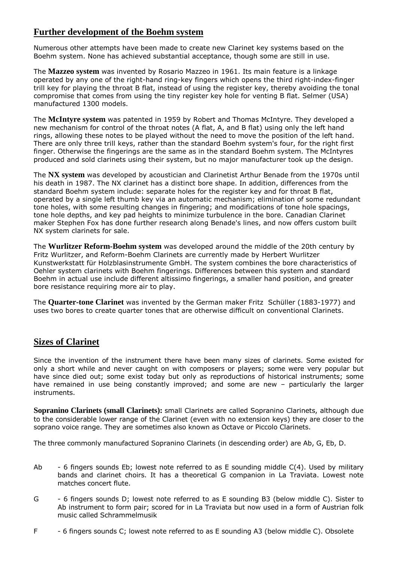## **Further development of the Boehm system**

Numerous other attempts have been made to create new Clarinet key systems based on the Boehm system. None has achieved substantial acceptance, though some are still in use.

The **Mazzeo system** was invented by Rosario Mazzeo in 1961. Its main feature is a linkage operated by any one of the right-hand ring-key fingers which opens the third right-index-finger trill key for playing the throat B flat, instead of using the register key, thereby avoiding the tonal compromise that comes from using the tiny register key hole for venting B flat. Selmer (USA) manufactured 1300 models.

The **McIntyre system** was patented in 1959 by Robert and Thomas McIntyre. They developed a new mechanism for control of the throat notes (A flat, A, and B flat) using only the left hand rings, allowing these notes to be played without the need to move the position of the left hand. There are only three trill keys, rather than the standard Boehm system's four, for the right first finger. Otherwise the fingerings are the same as in the standard Boehm system. The McIntyres produced and sold clarinets using their system, but no major manufacturer took up the design.

The **NX system** was developed by acoustician and Clarinetist Arthur Benade from the 1970s until his death in 1987. The NX clarinet has a distinct bore shape. In addition, differences from the standard Boehm system include: separate holes for the register key and for throat B flat, operated by a single left thumb key via an automatic mechanism; elimination of some redundant tone holes, with some resulting changes in fingering; and modifications of tone hole spacings, tone hole depths, and key pad heights to minimize turbulence in the bore. Canadian Clarinet maker Stephen Fox has done further research along Benade's lines, and now offers custom built NX system clarinets for sale.

The **Wurlitzer Reform-Boehm system** was developed around the middle of the 20th century by Fritz Wurlitzer, and Reform-Boehm Clarinets are currently made by Herbert Wurlitzer Kunstwerkstatt für Holzblasinstrumente GmbH. The system combines the bore characteristics of Oehler system clarinets with Boehm fingerings. Differences between this system and standard Boehm in actual use include different altissimo fingerings, a smaller hand position, and greater bore resistance requiring more air to play.

The **Quarter-tone Clarinet** was invented by the German maker Fritz Schüller (1883-1977) and uses two bores to create quarter tones that are otherwise difficult on conventional Clarinets.

## **Sizes of Clarinet**

Since the invention of the instrument there have been many sizes of clarinets. Some existed for only a short while and never caught on with composers or players; some were very popular but have since died out; some exist today but only as reproductions of historical instruments; some have remained in use being constantly improved; and some are new – particularly the larger instruments.

**Sopranino Clarinets (small Clarinets):** small Clarinets are called Sopranino Clarinets, although due to the considerable lower range of the Clarinet (even with no extension keys) they are closer to the soprano voice range. They are sometimes also known as Octave or Piccolo Clarinets.

The three commonly manufactured Sopranino Clarinets (in descending order) are Ab, G, Eb, D.

- Ab  $-6$  fingers sounds Eb; lowest note referred to as E sounding middle  $C(4)$ . Used by military bands and clarinet choirs. It has a theoretical G companion in La Traviata. Lowest note matches concert flute.
- G 6 fingers sounds D; lowest note referred to as E sounding B3 (below middle C). Sister to Ab instrument to form pair; scored for in La Traviata but now used in a form of Austrian folk music called Schrammelmusik
- F 6 fingers sounds C; lowest note referred to as E sounding A3 (below middle C). Obsolete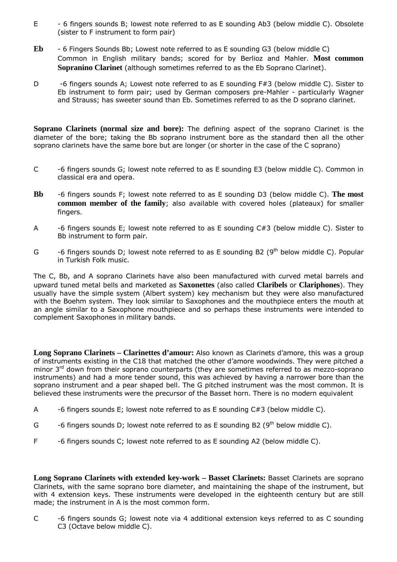- E 6 fingers sounds B; lowest note referred to as E sounding Ab3 (below middle C). Obsolete (sister to F instrument to form pair)
- **Eb** 6 Fingers Sounds Bb; Lowest note referred to as E sounding G3 (below middle C) Common in English military bands; scored for by Berlioz and Mahler. **Most common Sopranino Clarinet** (although sometimes referred to as the Eb Soprano Clarinet).
- D -6 fingers sounds A; Lowest note referred to as E sounding F#3 (below middle C). Sister to Eb instrument to form pair; used by German composers pre-Mahler - particularly Wagner and Strauss; has sweeter sound than Eb. Sometimes referred to as the D soprano clarinet.

**Soprano Clarinets (normal size and bore):** The defining aspect of the soprano Clarinet is the diameter of the bore; taking the Bb soprano instrument bore as the standard then all the other soprano clarinets have the same bore but are longer (or shorter in the case of the C soprano)

- C -6 fingers sounds G; lowest note referred to as E sounding E3 (below middle C). Common in classical era and opera.
- **Bb** -6 fingers sounds F; lowest note referred to as E sounding D3 (below middle C). **The most common member of the family**; also available with covered holes (plateaux) for smaller fingers.
- A -6 fingers sounds E; lowest note referred to as E sounding C#3 (below middle C). Sister to Bb instrument to form pair.
- G -6 fingers sounds D; lowest note referred to as E sounding B2 ( $9<sup>th</sup>$  below middle C). Popular in Turkish Folk music.

The C, Bb, and A soprano Clarinets have also been manufactured with curved metal barrels and upward tuned metal bells and marketed as **Saxonettes** (also called **Claribels** or **Clariphones**). They usually have the simple system (Albert system) key mechanism but they were also manufactured with the Boehm system. They look similar to Saxophones and the mouthpiece enters the mouth at an angle similar to a Saxophone mouthpiece and so perhaps these instruments were intended to complement Saxophones in military bands.

**Long Soprano Clarinets – Clarinettes d'amour:** Also known as Clarinets d'amore, this was a group of instruments existing in the C18 that matched the other d'amore woodwinds. They were pitched a minor  $3<sup>rd</sup>$  down from their soprano counterparts (they are sometimes referred to as mezzo-soprano instruments) and had a more tender sound, this was achieved by having a narrower bore than the soprano instrument and a pear shaped bell. The G pitched instrument was the most common. It is believed these instruments were the precursor of the Basset horn. There is no modern equivalent

- A -6 fingers sounds E; lowest note referred to as E sounding C#3 (below middle C).
- G -6 fingers sounds D; lowest note referred to as E sounding B2  $(9<sup>th</sup>$  below middle C).
- F -6 fingers sounds C; lowest note referred to as E sounding A2 (below middle C).

**Long Soprano Clarinets with extended key-work – Basset Clarinets:** Basset Clarinets are soprano Clarinets, with the same soprano bore diameter, and maintaining the shape of the instrument, but with 4 extension keys. These instruments were developed in the eighteenth century but are still made; the instrument in A is the most common form.

C -6 fingers sounds G; lowest note via 4 additional extension keys referred to as C sounding C3 (Octave below middle C).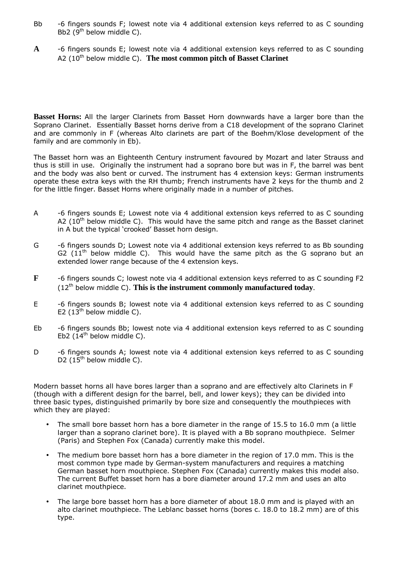- Bb -6 fingers sounds F; lowest note via 4 additional extension keys referred to as C sounding Bb2 ( $9<sup>th</sup>$  below middle C).
- **A** -6 fingers sounds E; lowest note via 4 additional extension keys referred to as C sounding A2 (10<sup>th</sup> below middle C). **The most common pitch of Basset Clarinet**

**Basset Horns:** All the larger Clarinets from Basset Horn downwards have a larger bore than the Soprano Clarinet. Essentially Basset horns derive from a C18 development of the soprano Clarinet and are commonly in F (whereas Alto clarinets are part of the Boehm/Klose development of the family and are commonly in Eb).

The Basset horn was an Eighteenth Century instrument favoured by Mozart and later Strauss and thus is still in use. Originally the instrument had a soprano bore but was in F, the barrel was bent and the body was also bent or curved. The instrument has 4 extension keys: German instruments operate these extra keys with the RH thumb; French instruments have 2 keys for the thumb and 2 for the little finger. Basset Horns where originally made in a number of pitches.

- A -6 fingers sounds E; Lowest note via 4 additional extension keys referred to as C sounding A2  $(10^{th})$  below middle C). This would have the same pitch and range as the Basset clarinet in A but the typical 'crooked' Basset horn design.
- G -6 fingers sounds D; Lowest note via 4 additional extension keys referred to as Bb sounding G2  $(11<sup>th</sup>$  below middle C). This would have the same pitch as the G soprano but an extended lower range because of the 4 extension keys.
- **F** -6 fingers sounds C; lowest note via 4 additional extension keys referred to as C sounding F2  $(12<sup>th</sup>$  below middle C). This is the instrument commonly manufactured today.
- E -6 fingers sounds B; lowest note via 4 additional extension keys referred to as C sounding E2  $(13<sup>th</sup>$  below middle C).
- Eb -6 fingers sounds Bb; lowest note via 4 additional extension keys referred to as C sounding Eb2 ( $14<sup>th</sup>$  below middle C).
- D -6 fingers sounds A; lowest note via 4 additional extension keys referred to as C sounding D2  $(15<sup>th</sup>$  below middle C).

Modern basset horns all have bores larger than a soprano and are effectively alto Clarinets in F (though with a different design for the barrel, bell, and lower keys); they can be divided into three basic types, distinguished primarily by bore size and consequently the mouthpieces with which they are played:

- The small bore basset horn has a bore diameter in the range of 15.5 to 16.0 mm (a little larger than a soprano clarinet bore). It is played with a Bb soprano mouthpiece. Selmer (Paris) and Stephen Fox (Canada) currently make this model.
- The medium bore basset horn has a bore diameter in the region of 17.0 mm. This is the most common type made by German-system manufacturers and requires a matching German basset horn mouthpiece. Stephen Fox (Canada) currently makes this model also. The current Buffet basset horn has a bore diameter around 17.2 mm and uses an alto clarinet mouthpiece.
- The large bore basset horn has a bore diameter of about 18.0 mm and is played with an alto clarinet mouthpiece. The Leblanc basset horns (bores c. 18.0 to 18.2 mm) are of this type.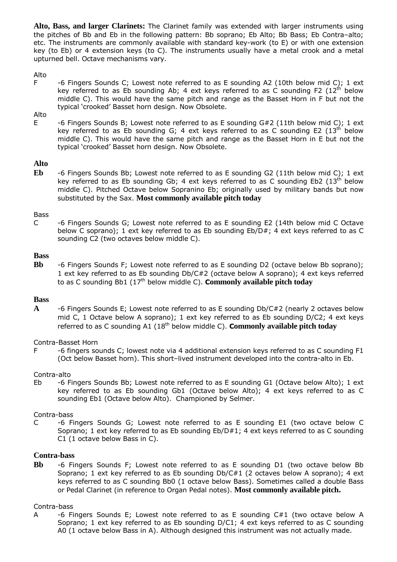**Alto, Bass, and larger Clarinets:** The Clarinet family was extended with larger instruments using the pitches of Bb and Eb in the following pattern: Bb soprano; Eb Alto; Bb Bass; Eb Contra–alto; etc. The instruments are commonly available with standard key-work (to E) or with one extension key (to Eb) or 4 extension keys (to C). The instruments usually have a metal crook and a metal upturned bell. Octave mechanisms vary.

#### Alto

F -6 Fingers Sounds C; Lowest note referred to as E sounding A2 (10th below mid C); 1 ext key referred to as Eb sounding Ab; 4 ext keys referred to as C sounding F2  $(12<sup>th</sup>$  below middle C). This would have the same pitch and range as the Basset Horn in F but not the typical 'crooked' Basset horn design. Now Obsolete.

### Alto

E -6 Fingers Sounds B; Lowest note referred to as E sounding G#2 (11th below mid C); 1 ext key referred to as Eb sounding G; 4 ext keys referred to as C sounding E2  $(13^{th})$  below middle C). This would have the same pitch and range as the Basset Horn in E but not the typical 'crooked' Basset horn design. Now Obsolete.

#### **Alto**

**Eb** -6 Fingers Sounds Bb; Lowest note referred to as E sounding G2 (11th below mid C); 1 ext key referred to as Eb sounding Gb; 4 ext keys referred to as C sounding Eb2  $(13<sup>th</sup>$  below middle C). Pitched Octave below Sopranino Eb; originally used by military bands but now substituted by the Sax. **Most commonly available pitch today**

#### Bass

C -6 Fingers Sounds G; Lowest note referred to as E sounding E2 (14th below mid C Octave below C soprano); 1 ext key referred to as Eb sounding Eb/D#; 4 ext keys referred to as C sounding C2 (two octaves below middle C).

#### **Bass**

**Bb** -6 Fingers Sounds F; Lowest note referred to as E sounding D2 (octave below Bb soprano); 1 ext key referred to as Eb sounding Db/C#2 (octave below A soprano); 4 ext keys referred to as C sounding Bb1 (17th below middle C). **Commonly available pitch today**

#### **Bass**

**A** -6 Fingers Sounds E; Lowest note referred to as E sounding Db/C#2 (nearly 2 octaves below mid C, 1 Octave below A soprano); 1 ext key referred to as Eb sounding D/C2; 4 ext keys referred to as C sounding A1 (18th below middle C). **Commonly available pitch today**

#### Contra-Basset Horn

F -6 fingers sounds C; lowest note via 4 additional extension keys referred to as C sounding F1 (Oct below Basset horn). This short–lived instrument developed into the contra-alto in Eb.

#### Contra-alto

Eb -6 Fingers Sounds Bb; Lowest note referred to as E sounding G1 (Octave below Alto); 1 ext key referred to as Eb sounding Gb1 (Octave below Alto); 4 ext keys referred to as C sounding Eb1 (Octave below Alto). Championed by Selmer.

#### Contra-bass

C -6 Fingers Sounds G; Lowest note referred to as E sounding E1 (two octave below C Soprano; 1 ext key referred to as Eb sounding Eb/D#1; 4 ext keys referred to as C sounding C1 (1 octave below Bass in C).

#### **Contra-bass**

**Bb** -6 Fingers Sounds F; Lowest note referred to as E sounding D1 (two octave below Bb Soprano; 1 ext key referred to as Eb sounding Db/C#1 (2 octaves below A soprano); 4 ext keys referred to as C sounding Bb0 (1 octave below Bass). Sometimes called a double Bass or Pedal Clarinet (in reference to Organ Pedal notes). **Most commonly available pitch.**

#### Contra-bass

A -6 Fingers Sounds E; Lowest note referred to as E sounding C#1 (two octave below A Soprano; 1 ext key referred to as Eb sounding D/C1; 4 ext keys referred to as C sounding A0 (1 octave below Bass in A). Although designed this instrument was not actually made.